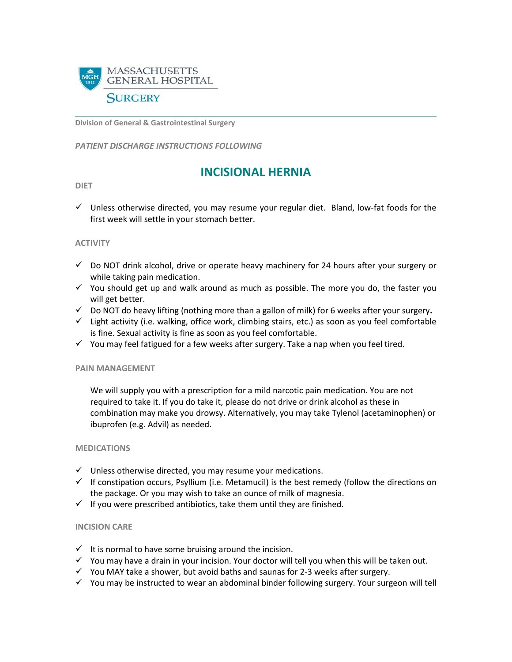

**Division of General & Gastrointestinal Surgery**

*PATIENT DISCHARGE INSTRUCTIONS FOLLOWING* 

# **INCISIONAL HERNIA**

#### **DIET**

 $\checkmark$  Unless otherwise directed, you may resume your regular diet. Bland, low-fat foods for the first week will settle in your stomach better.

### **ACTIVITY**

- $\checkmark$  Do NOT drink alcohol, drive or operate heavy machinery for 24 hours after your surgery or while taking pain medication.
- $\checkmark$  You should get up and walk around as much as possible. The more you do, the faster you will get better.
- $\checkmark$  Do NOT do heavy lifting (nothing more than a gallon of milk) for 6 weeks after your surgery.
- $\checkmark$  Light activity (i.e. walking, office work, climbing stairs, etc.) as soon as you feel comfortable is fine. Sexual activity is fine as soon as you feel comfortable.
- $\checkmark$  You may feel fatigued for a few weeks after surgery. Take a nap when you feel tired.

#### **PAIN MANAGEMENT**

We will supply you with a prescription for a mild narcotic pain medication. You are not required to take it. If you do take it, please do not drive or drink alcohol as these in combination may make you drowsy. Alternatively, you may take Tylenol (acetaminophen) or ibuprofen (e.g. Advil) as needed.

#### **MEDICATIONS**

- $\checkmark$  Unless otherwise directed, you may resume your medications.
- $\checkmark$  If constipation occurs, Psyllium (i.e. Metamucil) is the best remedy (follow the directions on the package. Or you may wish to take an ounce of milk of magnesia.
- $\checkmark$  If you were prescribed antibiotics, take them until they are finished.

#### **INCISION CARE**

- $\checkmark$  It is normal to have some bruising around the incision.
- $\checkmark$  You may have a drain in your incision. Your doctor will tell you when this will be taken out.
- $\checkmark$  You MAY take a shower, but avoid baths and saunas for 2-3 weeks after surgery.
- $\checkmark$  You may be instructed to wear an abdominal binder following surgery. Your surgeon will tell